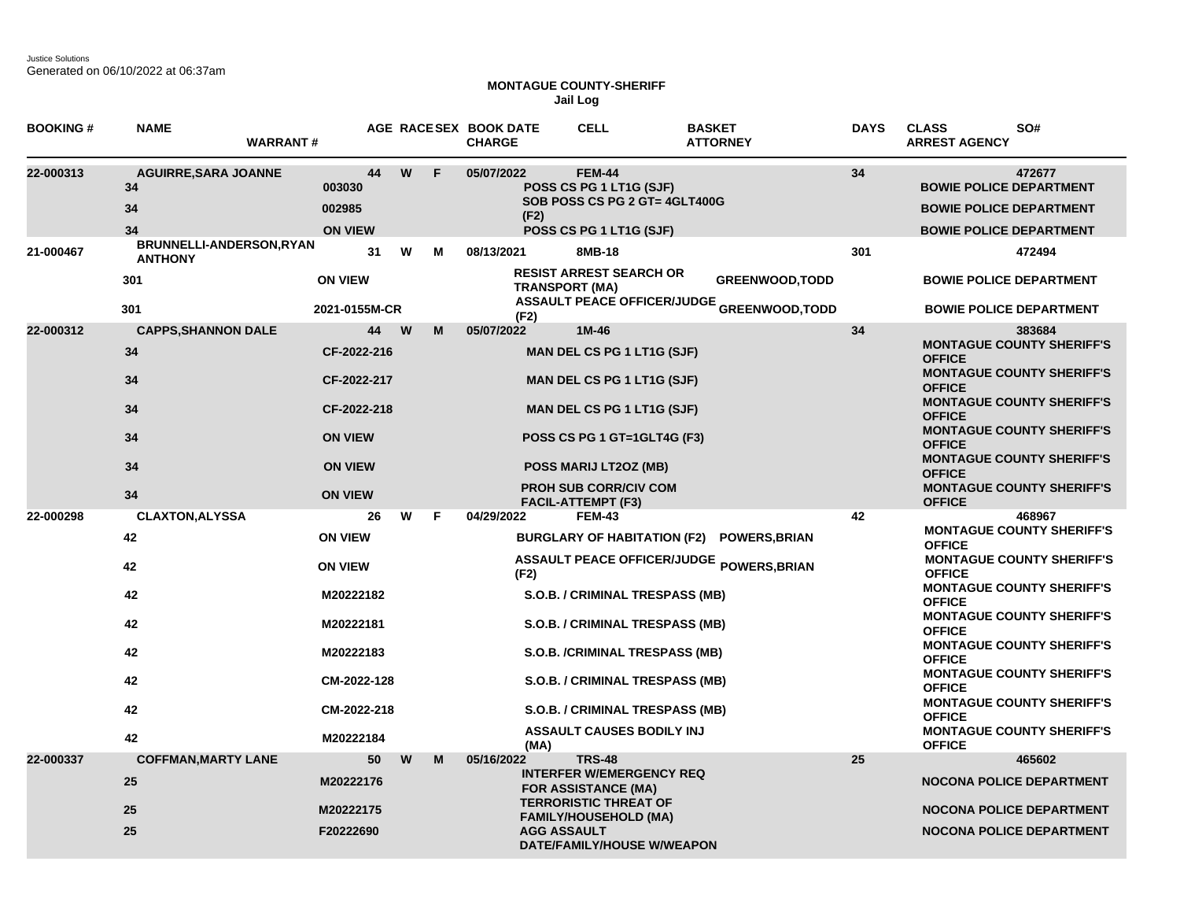Justice Solutions Generated on 06/10/2022 at 06:37am

## **MONTAGUE COUNTY-SHERIFF Jail Log**

| <b>BOOKING#</b> | <b>NAME</b>                                   | <b>WARRANT#</b>                    |    |   |    | AGE RACESEX BOOK DATE<br><b>CHARGE</b> | <b>CELL</b>                                                                                          | <b>BASKET</b><br><b>ATTORNEY</b>                                            | <b>DAYS</b> | <b>CLASS</b><br>SO#<br><b>ARREST AGENCY</b>                                                                  |
|-----------------|-----------------------------------------------|------------------------------------|----|---|----|----------------------------------------|------------------------------------------------------------------------------------------------------|-----------------------------------------------------------------------------|-------------|--------------------------------------------------------------------------------------------------------------|
| 22-000313       | <b>AGUIRRE, SARA JOANNE</b><br>34<br>34<br>34 | 003030<br>002985<br><b>ON VIEW</b> | 44 | W | F  | 05/07/2022<br>(F2)                     | <b>FEM-44</b><br>POSS CS PG 1 LT1G (SJF)<br>SOB POSS CS PG 2 GT= 4GLT400G<br>POSS CS PG 1 LT1G (SJF) |                                                                             | 34          | 472677<br><b>BOWIE POLICE DEPARTMENT</b><br><b>BOWIE POLICE DEPARTMENT</b><br><b>BOWIE POLICE DEPARTMENT</b> |
| 21-000467       | BRUNNELLI-ANDERSON, RYAN<br><b>ANTHONY</b>    |                                    | 31 | W | М  | 08/13/2021                             | 8MB-18                                                                                               |                                                                             | 301         | 472494                                                                                                       |
|                 | 301<br>301                                    | <b>ON VIEW</b><br>2021-0155M-CR    |    |   |    |                                        | <b>RESIST ARREST SEARCH OR</b><br><b>TRANSPORT (MA)</b>                                              | <b>GREENWOOD, TODD</b><br><b>ASSAULT PEACE OFFICER/JUDGE GREENWOOD,TODD</b> |             | <b>BOWIE POLICE DEPARTMENT</b><br><b>BOWIE POLICE DEPARTMENT</b>                                             |
|                 |                                               |                                    |    | w | м  | (F2)                                   | $1M-46$                                                                                              |                                                                             |             |                                                                                                              |
| 22-000312       | <b>CAPPS, SHANNON DALE</b><br>34              | CF-2022-216                        | 44 |   |    | 05/07/2022                             | <b>MAN DEL CS PG 1 LT1G (SJF)</b>                                                                    |                                                                             | 34          | 383684<br><b>MONTAGUE COUNTY SHERIFF'S</b><br><b>OFFICE</b><br><b>MONTAGUE COUNTY SHERIFF'S</b>              |
|                 | 34<br>34                                      | CF-2022-217<br>CF-2022-218         |    |   |    |                                        | <b>MAN DEL CS PG 1 LT1G (SJF)</b><br><b>MAN DEL CS PG 1 LT1G (SJF)</b>                               |                                                                             |             | <b>OFFICE</b><br><b>MONTAGUE COUNTY SHERIFF'S</b><br><b>OFFICE</b>                                           |
|                 | 34                                            | <b>ON VIEW</b>                     |    |   |    |                                        | POSS CS PG 1 GT=1GLT4G (F3)                                                                          |                                                                             |             | <b>MONTAGUE COUNTY SHERIFF'S</b><br><b>OFFICE</b>                                                            |
|                 | 34                                            | <b>ON VIEW</b>                     |    |   |    |                                        | POSS MARIJ LT2OZ (MB)                                                                                |                                                                             |             | <b>MONTAGUE COUNTY SHERIFF'S</b><br><b>OFFICE</b>                                                            |
|                 | 34                                            | <b>ON VIEW</b>                     |    |   |    |                                        | <b>PROH SUB CORR/CIV COM</b><br><b>FACIL-ATTEMPT (F3)</b>                                            |                                                                             |             | <b>MONTAGUE COUNTY SHERIFF'S</b><br><b>OFFICE</b>                                                            |
| 22-000298       | <b>CLAXTON, ALYSSA</b>                        |                                    | 26 | W | F. | 04/29/2022                             | <b>FEM-43</b>                                                                                        |                                                                             | 42          | 468967<br><b>MONTAGUE COUNTY SHERIFF'S</b>                                                                   |
|                 | 42                                            | <b>ON VIEW</b>                     |    |   |    |                                        |                                                                                                      | BURGLARY OF HABITATION (F2) POWERS, BRIAN                                   |             | <b>OFFICE</b>                                                                                                |
|                 | 42                                            | <b>ON VIEW</b>                     |    |   |    | (F2)                                   |                                                                                                      | ASSAULT PEACE OFFICER/JUDGE POWERS, BRIAN                                   |             | <b>MONTAGUE COUNTY SHERIFF'S</b><br><b>OFFICE</b>                                                            |
|                 | 42                                            | M20222182                          |    |   |    |                                        | S.O.B. / CRIMINAL TRESPASS (MB)                                                                      |                                                                             |             | <b>MONTAGUE COUNTY SHERIFF'S</b><br><b>OFFICE</b>                                                            |
|                 | 42                                            | M20222181                          |    |   |    |                                        | S.O.B. / CRIMINAL TRESPASS (MB)                                                                      |                                                                             |             | <b>MONTAGUE COUNTY SHERIFF'S</b><br><b>OFFICE</b>                                                            |
|                 | 42                                            | M20222183                          |    |   |    |                                        | S.O.B. /CRIMINAL TRESPASS (MB)                                                                       |                                                                             |             | <b>MONTAGUE COUNTY SHERIFF'S</b><br><b>OFFICE</b>                                                            |
|                 | 42                                            | CM-2022-128                        |    |   |    |                                        | S.O.B. / CRIMINAL TRESPASS (MB)                                                                      |                                                                             |             | <b>MONTAGUE COUNTY SHERIFF'S</b><br><b>OFFICE</b>                                                            |
|                 | 42                                            | CM-2022-218                        |    |   |    |                                        | S.O.B. / CRIMINAL TRESPASS (MB)                                                                      |                                                                             |             | <b>MONTAGUE COUNTY SHERIFF'S</b><br><b>OFFICE</b>                                                            |
|                 | 42                                            | M20222184                          |    |   |    | (MA)                                   | <b>ASSAULT CAUSES BODILY INJ</b>                                                                     |                                                                             |             | <b>MONTAGUE COUNTY SHERIFF'S</b><br><b>OFFICE</b>                                                            |
| 22-000337       | <b>COFFMAN, MARTY LANE</b>                    |                                    | 50 | W | M  | 05/16/2022                             | <b>TRS-48</b>                                                                                        |                                                                             | 25          | 465602                                                                                                       |
|                 | 25                                            | M20222176                          |    |   |    |                                        | <b>INTERFER W/EMERGENCY REQ</b><br><b>FOR ASSISTANCE (MA)</b><br><b>TERRORISTIC THREAT OF</b>        |                                                                             |             | <b>NOCONA POLICE DEPARTMENT</b>                                                                              |
|                 | 25                                            | M20222175                          |    |   |    |                                        | <b>FAMILY/HOUSEHOLD (MA)</b>                                                                         |                                                                             |             | <b>NOCONA POLICE DEPARTMENT</b>                                                                              |
|                 | 25                                            | F20222690                          |    |   |    | <b>AGG ASSAULT</b>                     | DATE/FAMILY/HOUSE W/WEAPON                                                                           |                                                                             |             | <b>NOCONA POLICE DEPARTMENT</b>                                                                              |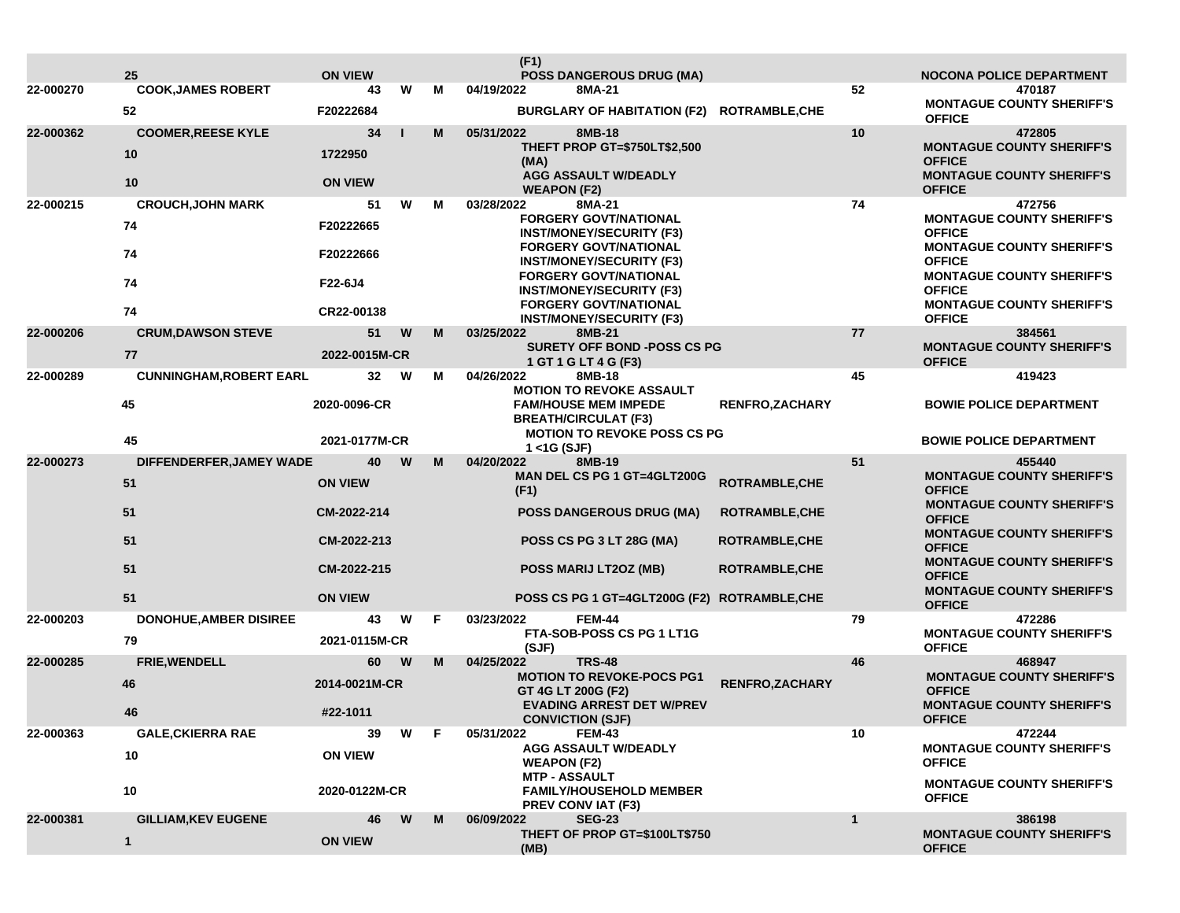|           |                                 |                      |     |   | (F1)                                                            |                        |              |                                                   |
|-----------|---------------------------------|----------------------|-----|---|-----------------------------------------------------------------|------------------------|--------------|---------------------------------------------------|
| 22-000270 | 25<br><b>COOK, JAMES ROBERT</b> | <b>ON VIEW</b><br>43 | W   | м | <b>POSS DANGEROUS DRUG (MA)</b><br>04/19/2022<br>8MA-21         |                        | 52           | <b>NOCONA POLICE DEPARTMENT</b><br>470187         |
|           | 52                              | F20222684            |     |   | BURGLARY OF HABITATION (F2) ROTRAMBLE, CHE                      |                        |              | <b>MONTAGUE COUNTY SHERIFF'S</b><br><b>OFFICE</b> |
| 22-000362 | <b>COOMER, REESE KYLE</b>       | 34                   |     | M | 05/31/2022<br>8MB-18                                            |                        | 10           | 472805                                            |
|           | 10                              | 1722950              |     |   | THEFT PROP GT=\$750LT\$2,500<br>(MA)                            |                        |              | <b>MONTAGUE COUNTY SHERIFF'S</b><br><b>OFFICE</b> |
|           | 10                              | <b>ON VIEW</b>       |     |   | <b>AGG ASSAULT W/DEADLY</b>                                     |                        |              | <b>MONTAGUE COUNTY SHERIFF'S</b>                  |
| 22-000215 | <b>CROUCH, JOHN MARK</b>        | 51                   | W   | м | <b>WEAPON (F2)</b><br>03/28/2022<br>8MA-21                      |                        | 74           | <b>OFFICE</b><br>472756                           |
|           |                                 |                      |     |   | <b>FORGERY GOVT/NATIONAL</b>                                    |                        |              | <b>MONTAGUE COUNTY SHERIFF'S</b>                  |
|           | 74                              | F20222665            |     |   | <b>INST/MONEY/SECURITY (F3)</b>                                 |                        |              | <b>OFFICE</b>                                     |
|           | 74                              | F20222666            |     |   | <b>FORGERY GOVT/NATIONAL</b><br><b>INST/MONEY/SECURITY (F3)</b> |                        |              | <b>MONTAGUE COUNTY SHERIFF'S</b><br><b>OFFICE</b> |
|           | 74                              | F22-6J4              |     |   | <b>FORGERY GOVT/NATIONAL</b>                                    |                        |              | <b>MONTAGUE COUNTY SHERIFF'S</b>                  |
|           |                                 |                      |     |   | <b>INST/MONEY/SECURITY (F3)</b>                                 |                        |              | <b>OFFICE</b>                                     |
|           | 74                              | CR22-00138           |     |   | <b>FORGERY GOVT/NATIONAL</b><br><b>INST/MONEY/SECURITY (F3)</b> |                        |              | <b>MONTAGUE COUNTY SHERIFF'S</b><br><b>OFFICE</b> |
| 22-000206 | <b>CRUM, DAWSON STEVE</b>       | 51                   | W   | M | 03/25/2022<br>8MB-21                                            |                        | 77           | 384561                                            |
|           | 77                              | 2022-0015M-CR        |     |   | <b>SURETY OFF BOND -POSS CS PG</b><br>1 GT 1 G LT 4 G (F3)      |                        |              | <b>MONTAGUE COUNTY SHERIFF'S</b><br><b>OFFICE</b> |
| 22-000289 | <b>CUNNINGHAM, ROBERT EARL</b>  | 32                   | W   | м | 04/26/2022<br>8MB-18                                            |                        | 45           | 419423                                            |
|           | 45                              | 2020-0096-CR         |     |   | <b>MOTION TO REVOKE ASSAULT</b><br><b>FAM/HOUSE MEM IMPEDE</b>  | <b>RENFRO, ZACHARY</b> |              | <b>BOWIE POLICE DEPARTMENT</b>                    |
|           |                                 |                      |     |   | <b>BREATH/CIRCULAT (F3)</b>                                     |                        |              |                                                   |
|           | 45                              | 2021-0177M-CR        |     |   | <b>MOTION TO REVOKE POSS CS PG</b>                              |                        |              | <b>BOWIE POLICE DEPARTMENT</b>                    |
| 22-000273 | DIFFENDERFER, JAMEY WADE        | 40                   | W   | M | $1 <$ 1G (SJF)<br>04/20/2022<br>8MB-19                          |                        | 51           | 455440                                            |
|           | 51                              | <b>ON VIEW</b>       |     |   | MAN DEL CS PG 1 GT=4GLT200G<br>(F1)                             | ROTRAMBLE, CHE         |              | <b>MONTAGUE COUNTY SHERIFF'S</b><br><b>OFFICE</b> |
|           | 51                              | CM-2022-214          |     |   | <b>POSS DANGEROUS DRUG (MA)</b>                                 | <b>ROTRAMBLE, CHE</b>  |              | <b>MONTAGUE COUNTY SHERIFF'S</b><br><b>OFFICE</b> |
|           | 51                              | CM-2022-213          |     |   | POSS CS PG 3 LT 28G (MA)                                        | <b>ROTRAMBLE, CHE</b>  |              | <b>MONTAGUE COUNTY SHERIFF'S</b><br><b>OFFICE</b> |
|           | 51                              | CM-2022-215          |     |   | POSS MARIJ LT2OZ (MB)                                           | <b>ROTRAMBLE, CHE</b>  |              | <b>MONTAGUE COUNTY SHERIFF'S</b><br><b>OFFICE</b> |
|           | 51                              | <b>ON VIEW</b>       |     |   | POSS CS PG 1 GT=4GLT200G (F2) ROTRAMBLE, CHE                    |                        |              | <b>MONTAGUE COUNTY SHERIFF'S</b><br><b>OFFICE</b> |
| 22-000203 | <b>DONOHUE, AMBER DISIREE</b>   | 43                   | W   | F | 03/23/2022<br><b>FEM-44</b>                                     |                        | 79           | 472286                                            |
|           | 79                              | 2021-0115M-CR        |     |   | FTA-SOB-POSS CS PG 1 LT1G<br>(SJF)                              |                        |              | <b>MONTAGUE COUNTY SHERIFF'S</b><br><b>OFFICE</b> |
| 22-000285 | FRIE, WENDELL                   | 60                   | W   | M | 04/25/2022<br><b>TRS-48</b>                                     |                        | 46           | 468947                                            |
|           | 46                              | 2014-0021M-CR        |     |   | <b>MOTION TO REVOKE-POCS PG1</b>                                | <b>RENFRO,ZACHARY</b>  |              | <b>MONTAGUE COUNTY SHERIFF'S</b>                  |
|           |                                 |                      |     |   | GT 4G LT 200G (F2)<br><b>EVADING ARREST DET W/PREV</b>          |                        |              | <b>OFFICE</b><br><b>MONTAGUE COUNTY SHERIFF'S</b> |
|           | 46                              | #22-1011             |     |   | <b>CONVICTION (SJF)</b>                                         |                        |              | <b>OFFICE</b>                                     |
| 22-000363 | <b>GALE, CKIERRA RAE</b>        | 39                   | W F |   | 05/31/2022<br><b>FEM-43</b><br><b>AGG ASSAULT W/DEADLY</b>      |                        | 10           | 472244<br><b>MONTAGUE COUNTY SHERIFF'S</b>        |
|           | 10                              | <b>ON VIEW</b>       |     |   | <b>WEAPON (F2)</b>                                              |                        |              | <b>OFFICE</b>                                     |
|           |                                 |                      |     |   | <b>MTP - ASSAULT</b>                                            |                        |              | <b>MONTAGUE COUNTY SHERIFF'S</b>                  |
|           | 10                              | 2020-0122M-CR        |     |   | <b>FAMILY/HOUSEHOLD MEMBER</b><br>PREV CONVIAT (F3)             |                        |              | <b>OFFICE</b>                                     |
| 22-000381 | <b>GILLIAM, KEV EUGENE</b>      | 46                   | W   | M | 06/09/2022<br><b>SEG-23</b>                                     |                        | $\mathbf{1}$ | 386198                                            |
|           | $\mathbf{1}$                    | <b>ON VIEW</b>       |     |   | THEFT OF PROP GT=\$100LT\$750<br>(MB)                           |                        |              | <b>MONTAGUE COUNTY SHERIFF'S</b><br><b>OFFICE</b> |
|           |                                 |                      |     |   |                                                                 |                        |              |                                                   |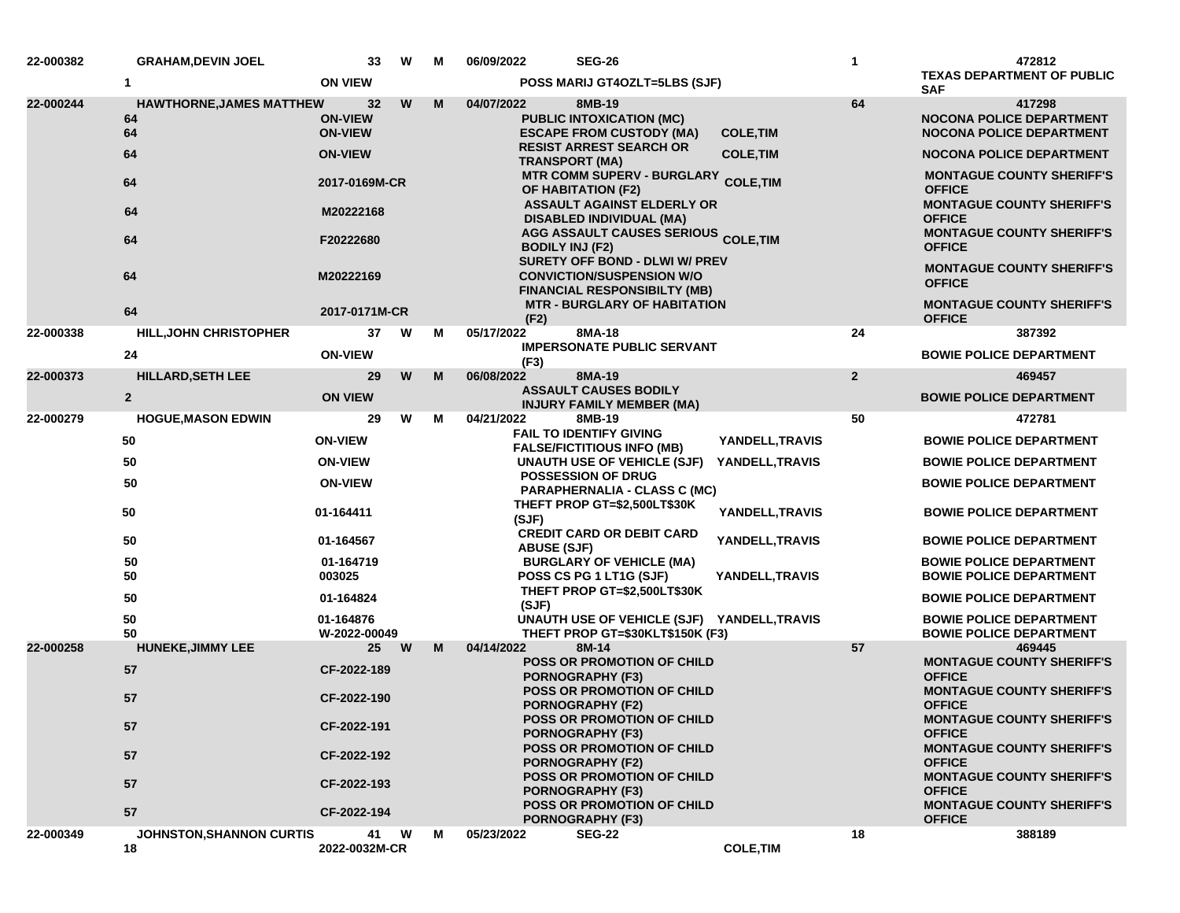| 22-000382 | <b>GRAHAM, DEVIN JOEL</b>                   |                                        | W<br>33        | м | 06/09/2022<br><b>SEG-26</b>                                                                       |                  | 1              | 472812                                                                                |
|-----------|---------------------------------------------|----------------------------------------|----------------|---|---------------------------------------------------------------------------------------------------|------------------|----------------|---------------------------------------------------------------------------------------|
|           | 1                                           | <b>ON VIEW</b>                         |                |   | POSS MARIJ GT4OZLT=5LBS (SJF)                                                                     |                  |                | <b>TEXAS DEPARTMENT OF PUBLIC</b><br><b>SAF</b>                                       |
| 22-000244 | <b>HAWTHORNE, JAMES MATTHEW</b><br>64<br>64 | 32<br><b>ON-VIEW</b><br><b>ON-VIEW</b> | W              | M | 04/07/2022<br>8MB-19<br><b>PUBLIC INTOXICATION (MC)</b><br><b>ESCAPE FROM CUSTODY (MA)</b>        | <b>COLE, TIM</b> | 64             | 417298<br><b>NOCONA POLICE DEPARTMENT</b><br><b>NOCONA POLICE DEPARTMENT</b>          |
|           | 64                                          | <b>ON-VIEW</b>                         |                |   | <b>RESIST ARREST SEARCH OR</b><br><b>TRANSPORT (MA)</b>                                           | <b>COLE, TIM</b> |                | <b>NOCONA POLICE DEPARTMENT</b>                                                       |
|           | 64                                          | 2017-0169M-CR                          |                |   | <b>MTR COMM SUPERV - BURGLARY</b><br><b>OF HABITATION (F2)</b>                                    | <b>COLE, TIM</b> |                | <b>MONTAGUE COUNTY SHERIFF'S</b><br><b>OFFICE</b>                                     |
|           | 64                                          | M20222168                              |                |   | <b>ASSAULT AGAINST ELDERLY OR</b><br><b>DISABLED INDIVIDUAL (MA)</b>                              |                  |                | <b>MONTAGUE COUNTY SHERIFF'S</b><br><b>OFFICE</b>                                     |
|           | 64                                          | F20222680                              |                |   | AGG ASSAULT CAUSES SERIOUS COLE, TIM<br><b>BODILY INJ (F2)</b><br>SURETY OFF BOND - DLWI W/ PREV  |                  |                | <b>MONTAGUE COUNTY SHERIFF'S</b><br><b>OFFICE</b>                                     |
|           | 64                                          | M20222169                              |                |   | <b>CONVICTION/SUSPENSION W/O</b><br><b>FINANCIAL RESPONSIBILTY (MB)</b>                           |                  |                | <b>MONTAGUE COUNTY SHERIFF'S</b><br><b>OFFICE</b>                                     |
|           | 64                                          | 2017-0171M-CR                          |                |   | <b>MTR - BURGLARY OF HABITATION</b><br>(F2)                                                       |                  |                | <b>MONTAGUE COUNTY SHERIFF'S</b><br><b>OFFICE</b>                                     |
| 22-000338 | <b>HILL, JOHN CHRISTOPHER</b>               | 37                                     | W              | М | 05/17/2022<br>8MA-18                                                                              |                  | 24             | 387392                                                                                |
|           | 24                                          | <b>ON-VIEW</b>                         |                |   | <b>IMPERSONATE PUBLIC SERVANT</b><br>(F3)                                                         |                  |                | <b>BOWIE POLICE DEPARTMENT</b>                                                        |
| 22-000373 | HILLARD, SETH LEE                           | 29                                     | W              | M | 06/08/2022<br>8MA-19                                                                              |                  | $\overline{2}$ | 469457                                                                                |
|           | $\mathbf{2}$                                | <b>ON VIEW</b>                         |                |   | <b>ASSAULT CAUSES BODILY</b><br><b>INJURY FAMILY MEMBER (MA)</b>                                  |                  |                | <b>BOWIE POLICE DEPARTMENT</b>                                                        |
| 22-000279 | <b>HOGUE, MASON EDWIN</b>                   | 29                                     | W              | M | 04/21/2022<br>8MB-19                                                                              |                  | 50             | 472781                                                                                |
|           | 50                                          | <b>ON-VIEW</b>                         |                |   | <b>FAIL TO IDENTIFY GIVING</b><br><b>FALSE/FICTITIOUS INFO (MB)</b>                               | YANDELL, TRAVIS  |                | <b>BOWIE POLICE DEPARTMENT</b>                                                        |
|           | 50                                          | <b>ON-VIEW</b>                         |                |   | UNAUTH USE OF VEHICLE (SJF)                                                                       | YANDELL, TRAVIS  |                | <b>BOWIE POLICE DEPARTMENT</b>                                                        |
|           | 50                                          | <b>ON-VIEW</b>                         |                |   | <b>POSSESSION OF DRUG</b><br><b>PARAPHERNALIA - CLASS C (MC)</b>                                  |                  |                | <b>BOWIE POLICE DEPARTMENT</b>                                                        |
|           | 50                                          | 01-164411                              |                |   | THEFT PROP GT=\$2,500LT\$30K<br>(SJF)                                                             | YANDELL, TRAVIS  |                | <b>BOWIE POLICE DEPARTMENT</b>                                                        |
|           | 50                                          | 01-164567                              |                |   | <b>CREDIT CARD OR DEBIT CARD</b><br><b>ABUSE (SJF)</b>                                            | YANDELL, TRAVIS  |                | <b>BOWIE POLICE DEPARTMENT</b>                                                        |
|           | 50<br>50                                    | 01-164719<br>003025                    |                |   | <b>BURGLARY OF VEHICLE (MA)</b><br>POSS CS PG 1 LT1G (SJF)                                        | YANDELL, TRAVIS  |                | <b>BOWIE POLICE DEPARTMENT</b><br><b>BOWIE POLICE DEPARTMENT</b>                      |
|           | 50                                          | 01-164824                              |                |   | THEFT PROP GT=\$2,500LT\$30K<br>(SJF)                                                             |                  |                | <b>BOWIE POLICE DEPARTMENT</b>                                                        |
|           | 50<br>50                                    | 01-164876<br>W-2022-00049              |                |   | UNAUTH USE OF VEHICLE (SJF) YANDELL, TRAVIS<br>THEFT PROP GT=\$30KLT\$150K (F3)                   |                  |                | <b>BOWIE POLICE DEPARTMENT</b><br><b>BOWIE POLICE DEPARTMENT</b>                      |
| 22-000258 | <b>HUNEKE, JIMMY LEE</b>                    | 25                                     | W              | M | 04/14/2022<br>8M-14                                                                               |                  | 57             | 469445                                                                                |
|           | 57                                          | CF-2022-189                            |                |   | <b>POSS OR PROMOTION OF CHILD</b><br><b>PORNOGRAPHY (F3)</b><br><b>POSS OR PROMOTION OF CHILD</b> |                  |                | <b>MONTAGUE COUNTY SHERIFF'S</b><br><b>OFFICE</b><br><b>MONTAGUE COUNTY SHERIFF'S</b> |
|           | 57                                          | CF-2022-190                            |                |   | <b>PORNOGRAPHY (F2)</b>                                                                           |                  |                | <b>OFFICE</b>                                                                         |
|           | 57                                          | CF-2022-191                            |                |   | POSS OR PROMOTION OF CHILD<br><b>PORNOGRAPHY (F3)</b>                                             |                  |                | <b>MONTAGUE COUNTY SHERIFF'S</b><br><b>OFFICE</b>                                     |
|           | 57                                          | CF-2022-192                            |                |   | <b>POSS OR PROMOTION OF CHILD</b><br><b>PORNOGRAPHY (F2)</b>                                      |                  |                | <b>MONTAGUE COUNTY SHERIFF'S</b><br><b>OFFICE</b>                                     |
|           | 57                                          | CF-2022-193                            |                |   | <b>POSS OR PROMOTION OF CHILD</b><br><b>PORNOGRAPHY (F3)</b>                                      |                  |                | <b>MONTAGUE COUNTY SHERIFF'S</b><br><b>OFFICE</b>                                     |
|           | 57                                          | CF-2022-194                            |                |   | <b>POSS OR PROMOTION OF CHILD</b><br><b>PORNOGRAPHY (F3)</b>                                      |                  |                | <b>MONTAGUE COUNTY SHERIFF'S</b><br><b>OFFICE</b>                                     |
| 22-000349 | <b>JOHNSTON, SHANNON CURTIS</b><br>18       | 2022-0032M-CR                          | 41<br><b>W</b> | М | 05/23/2022<br><b>SEG-22</b>                                                                       | <b>COLE, TIM</b> | 18             | 388189                                                                                |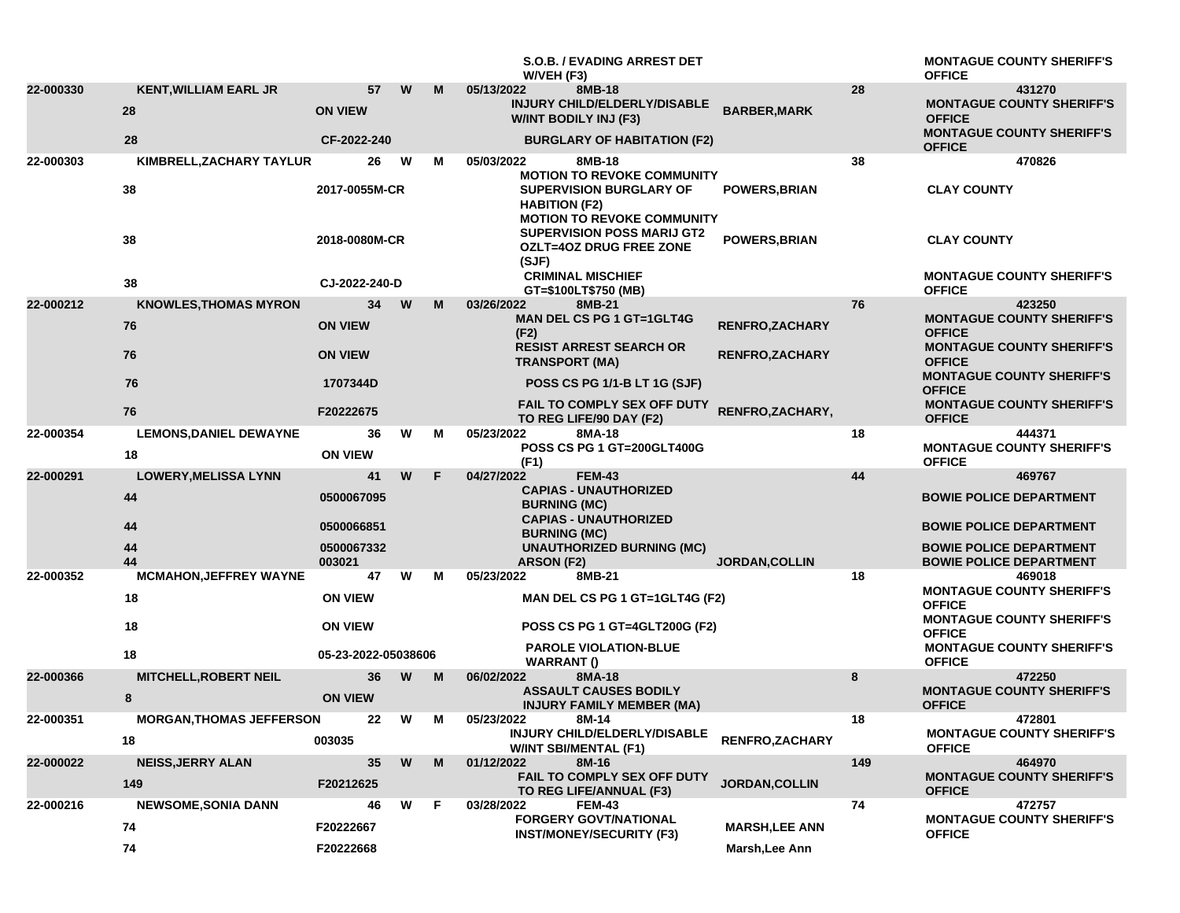|           |                                 |                      |   |    | <b>S.O.B. / EVADING ARREST DET</b><br>W/VEH (F3)                                                                          |                        | <b>MONTAGUE COUNTY SHERIFF'S</b><br><b>OFFICE</b>                |
|-----------|---------------------------------|----------------------|---|----|---------------------------------------------------------------------------------------------------------------------------|------------------------|------------------------------------------------------------------|
| 22-000330 | <b>KENT, WILLIAM EARL JR</b>    | 57                   | W | M  | 8MB-18<br>05/13/2022                                                                                                      | 28                     | 431270                                                           |
|           | 28                              | <b>ON VIEW</b>       |   |    | INJURY CHILD/ELDERLY/DISABLE<br>W/INT BODILY INJ (F3)                                                                     | <b>BARBER, MARK</b>    | <b>MONTAGUE COUNTY SHERIFF'S</b><br><b>OFFICE</b>                |
|           | 28                              | CF-2022-240          |   |    | <b>BURGLARY OF HABITATION (F2)</b>                                                                                        |                        | <b>MONTAGUE COUNTY SHERIFF'S</b><br><b>OFFICE</b>                |
| 22-000303 | KIMBRELL, ZACHARY TAYLUR        | 26                   | W | м  | 8MB-18<br>05/03/2022                                                                                                      | 38                     | 470826                                                           |
|           | 38                              | 2017-0055M-CR        |   |    | <b>MOTION TO REVOKE COMMUNITY</b><br>SUPERVISION BURGLARY OF<br><b>HABITION (F2)</b><br><b>MOTION TO REVOKE COMMUNITY</b> | <b>POWERS, BRIAN</b>   | <b>CLAY COUNTY</b>                                               |
|           | 38                              | 2018-0080M-CR        |   |    | <b>SUPERVISION POSS MARIJ GT2</b><br><b>OZLT=4OZ DRUG FREE ZONE</b><br>(SJF)                                              | <b>POWERS, BRIAN</b>   | <b>CLAY COUNTY</b>                                               |
|           | 38                              | CJ-2022-240-D        |   |    | <b>CRIMINAL MISCHIEF</b><br>GT=\$100LT\$750 (MB)                                                                          |                        | <b>MONTAGUE COUNTY SHERIFF'S</b><br><b>OFFICE</b>                |
| 22-000212 | <b>KNOWLES, THOMAS MYRON</b>    | 34                   | W | M  | 03/26/2022<br>8MB-21                                                                                                      | 76                     | 423250                                                           |
|           | 76                              | <b>ON VIEW</b>       |   |    | <b>MAN DEL CS PG 1 GT=1GLT4G</b><br>(F2)                                                                                  | <b>RENFRO,ZACHARY</b>  | <b>MONTAGUE COUNTY SHERIFF'S</b><br><b>OFFICE</b>                |
|           | 76                              | <b>ON VIEW</b>       |   |    | <b>RESIST ARREST SEARCH OR</b><br><b>TRANSPORT (MA)</b>                                                                   | RENFRO, ZACHARY        | <b>MONTAGUE COUNTY SHERIFF'S</b><br><b>OFFICE</b>                |
|           | 76                              | 1707344D             |   |    | <b>POSS CS PG 1/1-B LT 1G (SJF)</b>                                                                                       |                        | <b>MONTAGUE COUNTY SHERIFF'S</b><br><b>OFFICE</b>                |
|           | 76                              | F20222675            |   |    | FAIL TO COMPLY SEX OFF DUTY<br>TO REG LIFE/90 DAY (F2)                                                                    | RENFRO, ZACHARY,       | <b>MONTAGUE COUNTY SHERIFF'S</b><br><b>OFFICE</b>                |
| 22-000354 | <b>LEMONS, DANIEL DEWAYNE</b>   | 36                   | W | м  | 05/23/2022<br>8MA-18                                                                                                      | 18                     | 444371                                                           |
|           | 18                              | <b>ON VIEW</b>       |   |    | <b>POSS CS PG 1 GT=200GLT400G</b><br>(F1)                                                                                 |                        | <b>MONTAGUE COUNTY SHERIFF'S</b><br><b>OFFICE</b>                |
| 22-000291 | <b>LOWERY, MELISSA LYNN</b>     | 41                   | W | F  | 04/27/2022<br><b>FEM-43</b>                                                                                               | 44                     | 469767                                                           |
|           | 44                              | 0500067095           |   |    | <b>CAPIAS - UNAUTHORIZED</b><br><b>BURNING (MC)</b>                                                                       |                        | <b>BOWIE POLICE DEPARTMENT</b>                                   |
|           | 44                              | 0500066851           |   |    | <b>CAPIAS - UNAUTHORIZED</b><br><b>BURNING (MC)</b>                                                                       |                        | <b>BOWIE POLICE DEPARTMENT</b>                                   |
|           | 44<br>44                        | 0500067332<br>003021 |   |    | <b>UNAUTHORIZED BURNING (MC)</b><br><b>ARSON (F2)</b>                                                                     | <b>JORDAN, COLLIN</b>  | <b>BOWIE POLICE DEPARTMENT</b><br><b>BOWIE POLICE DEPARTMENT</b> |
| 22-000352 | <b>MCMAHON, JEFFREY WAYNE</b>   | 47                   | W | м  | 8MB-21<br>05/23/2022                                                                                                      | 18                     | 469018                                                           |
|           | 18                              | <b>ON VIEW</b>       |   |    | MAN DEL CS PG 1 GT=1GLT4G (F2)                                                                                            |                        | <b>MONTAGUE COUNTY SHERIFF'S</b><br><b>OFFICE</b>                |
|           | 18                              | <b>ON VIEW</b>       |   |    | POSS CS PG 1 GT=4GLT200G (F2)                                                                                             |                        | <b>MONTAGUE COUNTY SHERIFF'S</b><br><b>OFFICE</b>                |
|           | 18                              | 05-23-2022-05038606  |   |    | <b>PAROLE VIOLATION-BLUE</b><br><b>WARRANT()</b>                                                                          |                        | <b>MONTAGUE COUNTY SHERIFF'S</b><br><b>OFFICE</b>                |
| 22-000366 | <b>MITCHELL, ROBERT NEIL</b>    | 36                   | W | M  | 8MA-18<br>06/02/2022                                                                                                      | 8                      | 472250                                                           |
|           | 8                               | <b>ON VIEW</b>       |   |    | <b>ASSAULT CAUSES BODILY</b><br><b>INJURY FAMILY MEMBER (MA)</b>                                                          |                        | <b>MONTAGUE COUNTY SHERIFF'S</b><br><b>OFFICE</b>                |
| 22-000351 | <b>MORGAN, THOMAS JEFFERSON</b> | 22                   | W | M  | 05/23/2022<br>8M-14                                                                                                       | 18                     | 472801                                                           |
|           | 18                              | 003035               |   |    | INJURY CHILD/ELDERLY/DISABLE<br><b>W/INT SBI/MENTAL (F1)</b>                                                              | <b>RENFRO, ZACHARY</b> | <b>MONTAGUE COUNTY SHERIFF'S</b><br><b>OFFICE</b>                |
| 22-000022 | <b>NEISS, JERRY ALAN</b>        | 35                   | W | M  | 8M-16<br>01/12/2022                                                                                                       | 149                    | 464970                                                           |
|           | 149                             | F20212625            |   |    | FAIL TO COMPLY SEX OFF DUTY<br>TO REG LIFE/ANNUAL (F3)                                                                    | JORDAN, COLLIN         | <b>MONTAGUE COUNTY SHERIFF'S</b><br><b>OFFICE</b>                |
| 22-000216 | <b>NEWSOME, SONIA DANN</b>      | 46                   | W | -F | <b>FEM-43</b><br>03/28/2022<br><b>FORGERY GOVT/NATIONAL</b>                                                               | 74                     | 472757<br><b>MONTAGUE COUNTY SHERIFF'S</b>                       |
|           | 74                              | F20222667            |   |    | <b>INST/MONEY/SECURITY (F3)</b>                                                                                           | <b>MARSH, LEE ANN</b>  | <b>OFFICE</b>                                                    |
|           | ${\bf 74}$                      | F20222668            |   |    |                                                                                                                           | Marsh, Lee Ann         |                                                                  |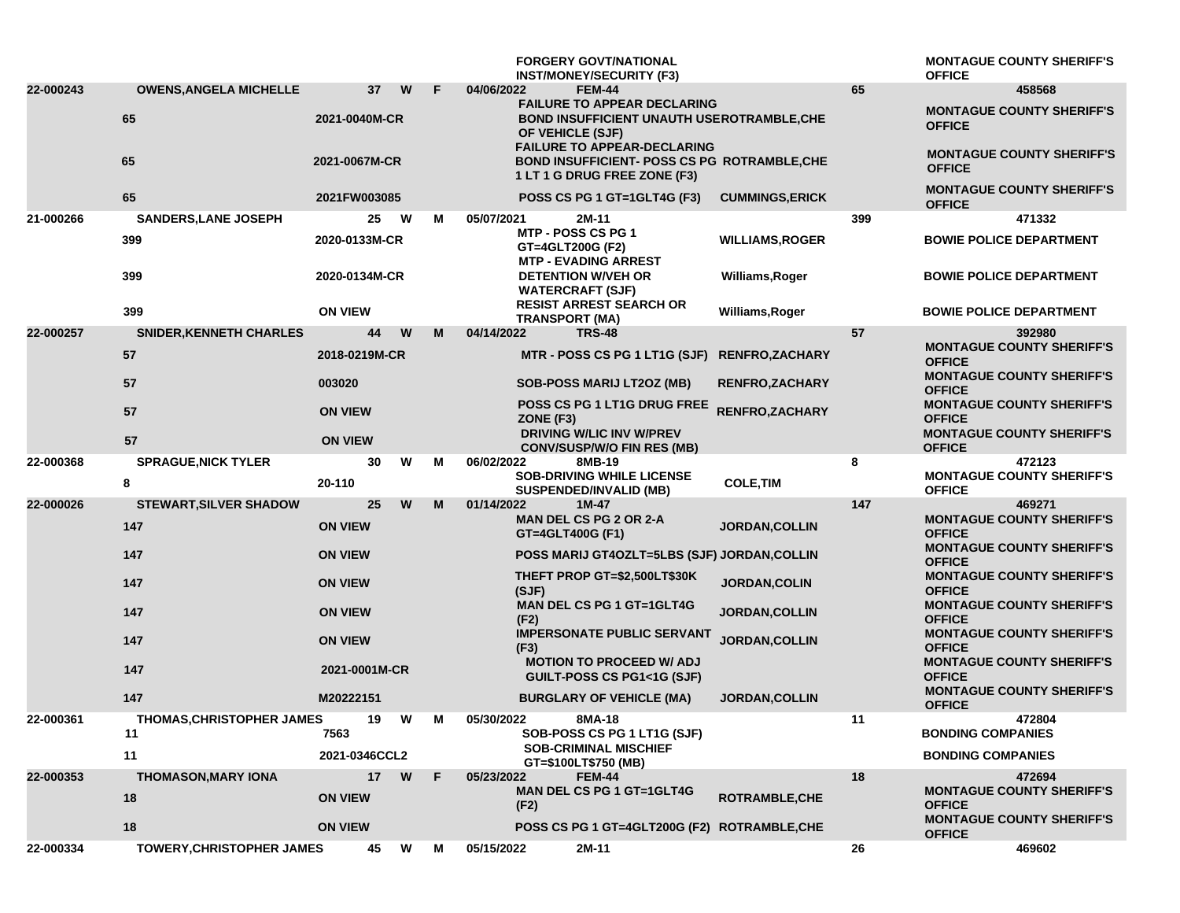|           |                                  |                       |   |   | <b>FORGERY GOVT/NATIONAL</b><br><b>INST/MONEY/SECURITY (F3)</b>                                                                                   |                        |     | <b>MONTAGUE COUNTY SHERIFF'S</b><br><b>OFFICE</b>                                     |
|-----------|----------------------------------|-----------------------|---|---|---------------------------------------------------------------------------------------------------------------------------------------------------|------------------------|-----|---------------------------------------------------------------------------------------|
| 22-000243 | <b>OWENS, ANGELA MICHELLE</b>    | 37                    | W | F | <b>FEM-44</b><br>04/06/2022                                                                                                                       |                        | 65  | 458568                                                                                |
|           | 65                               | 2021-0040M-CR         |   |   | <b>FAILURE TO APPEAR DECLARING</b><br><b>BOND INSUFFICIENT UNAUTH USEROTRAMBLE, CHE</b><br>OF VEHICLE (SJF)<br><b>FAILURE TO APPEAR-DECLARING</b> |                        |     | <b>MONTAGUE COUNTY SHERIFF'S</b><br><b>OFFICE</b>                                     |
|           | 65                               | 2021-0067M-CR         |   |   | <b>BOND INSUFFICIENT- POSS CS PG ROTRAMBLE,CHE</b><br>1 LT 1 G DRUG FREE ZONE (F3)                                                                |                        |     | <b>MONTAGUE COUNTY SHERIFF'S</b><br><b>OFFICE</b>                                     |
|           | 65                               | 2021FW003085          |   |   | POSS CS PG 1 GT=1GLT4G (F3)                                                                                                                       | <b>CUMMINGS, ERICK</b> |     | <b>MONTAGUE COUNTY SHERIFF'S</b><br><b>OFFICE</b>                                     |
| 21-000266 | <b>SANDERS, LANE JOSEPH</b>      | 25                    | W | М | 05/07/2021<br>2M-11                                                                                                                               |                        | 399 | 471332                                                                                |
|           | 399                              | 2020-0133M-CR         |   |   | MTP - POSS CS PG 1<br>GT=4GLT200G (F2)<br><b>MTP - EVADING ARREST</b>                                                                             | <b>WILLIAMS, ROGER</b> |     | <b>BOWIE POLICE DEPARTMENT</b>                                                        |
|           | 399                              | 2020-0134M-CR         |   |   | <b>DETENTION W/VEH OR</b><br><b>WATERCRAFT (SJF)</b><br><b>RESIST ARREST SEARCH OR</b>                                                            | Williams, Roger        |     | <b>BOWIE POLICE DEPARTMENT</b>                                                        |
|           | 399                              | <b>ON VIEW</b>        |   |   | <b>TRANSPORT (MA)</b>                                                                                                                             | Williams, Roger        |     | <b>BOWIE POLICE DEPARTMENT</b>                                                        |
| 22-000257 | <b>SNIDER, KENNETH CHARLES</b>   | 44                    | W | M | 04/14/2022<br><b>TRS-48</b>                                                                                                                       |                        | 57  | 392980                                                                                |
|           | 57                               | 2018-0219M-CR         |   |   | MTR - POSS CS PG 1 LT1G (SJF) RENFRO, ZACHARY                                                                                                     |                        |     | <b>MONTAGUE COUNTY SHERIFF'S</b><br><b>OFFICE</b><br><b>MONTAGUE COUNTY SHERIFF'S</b> |
|           | 57                               | 003020                |   |   | <b>SOB-POSS MARIJ LT2OZ (MB)</b>                                                                                                                  | <b>RENFRO, ZACHARY</b> |     | <b>OFFICE</b>                                                                         |
|           | 57                               | <b>ON VIEW</b>        |   |   | POSS CS PG 1 LT1G DRUG FREE<br>ZONE (F3)                                                                                                          | RENFRO, ZACHARY        |     | <b>MONTAGUE COUNTY SHERIFF'S</b><br><b>OFFICE</b>                                     |
|           | 57                               | <b>ON VIEW</b>        |   |   | <b>DRIVING W/LIC INV W/PREV</b><br><b>CONV/SUSP/W/O FIN RES (MB)</b>                                                                              |                        |     | <b>MONTAGUE COUNTY SHERIFF'S</b><br><b>OFFICE</b>                                     |
| 22-000368 | <b>SPRAGUE, NICK TYLER</b>       | 30                    | W | М | 06/02/2022<br>8MB-19                                                                                                                              |                        | 8   | 472123                                                                                |
|           | 8                                | 20-110                |   |   | <b>SOB-DRIVING WHILE LICENSE</b><br><b>SUSPENDED/INVALID (MB)</b>                                                                                 | <b>COLE, TIM</b>       |     | <b>MONTAGUE COUNTY SHERIFF'S</b><br><b>OFFICE</b>                                     |
| 22-000026 | <b>STEWART, SILVER SHADOW</b>    | 25                    | W | M | 01/14/2022<br>$1M-47$<br><b>MAN DEL CS PG 2 OR 2-A</b>                                                                                            |                        | 147 | 469271<br><b>MONTAGUE COUNTY SHERIFF'S</b>                                            |
|           | 147                              | <b>ON VIEW</b>        |   |   | GT=4GLT400G (F1)                                                                                                                                  | <b>JORDAN, COLLIN</b>  |     | <b>OFFICE</b><br><b>MONTAGUE COUNTY SHERIFF'S</b>                                     |
|           | 147                              | <b>ON VIEW</b>        |   |   | <b>POSS MARIJ GT4OZLT=5LBS (SJF) JORDAN, COLLIN</b>                                                                                               |                        |     | <b>OFFICE</b>                                                                         |
|           | 147                              | <b>ON VIEW</b>        |   |   | THEFT PROP GT=\$2,500LT\$30K<br>(SJF)                                                                                                             | <b>JORDAN, COLIN</b>   |     | <b>MONTAGUE COUNTY SHERIFF'S</b><br><b>OFFICE</b>                                     |
|           | 147                              | <b>ON VIEW</b>        |   |   | <b>MAN DEL CS PG 1 GT=1GLT4G</b><br>(F2)                                                                                                          | JORDAN, COLLIN         |     | <b>MONTAGUE COUNTY SHERIFF'S</b><br><b>OFFICE</b>                                     |
|           | 147                              | <b>ON VIEW</b>        |   |   | <b>IMPERSONATE PUBLIC SERVANT</b><br>(F3)                                                                                                         | JORDAN, COLLIN         |     | <b>MONTAGUE COUNTY SHERIFF'S</b><br><b>OFFICE</b>                                     |
|           | 147                              | 2021-0001M-CR         |   |   | <b>MOTION TO PROCEED W/ ADJ</b><br>GUILT-POSS CS PG1<1G (SJF)                                                                                     |                        |     | <b>MONTAGUE COUNTY SHERIFF'S</b><br><b>OFFICE</b><br><b>MONTAGUE COUNTY SHERIFF'S</b> |
|           | 147                              | M20222151             |   |   | <b>BURGLARY OF VEHICLE (MA)</b>                                                                                                                   | <b>JORDAN, COLLIN</b>  |     | <b>OFFICE</b>                                                                         |
| 22-000361 | <b>THOMAS, CHRISTOPHER JAMES</b> | 19                    | W | M | 05/30/2022<br>8MA-18                                                                                                                              |                        | 11  | 472804                                                                                |
|           | 11<br>11                         | 7563<br>2021-0346CCL2 |   |   | SOB-POSS CS PG 1 LT1G (SJF)<br><b>SOB-CRIMINAL MISCHIEF</b><br>GT=\$100LT\$750 (MB)                                                               |                        |     | <b>BONDING COMPANIES</b><br><b>BONDING COMPANIES</b>                                  |
| 22-000353 | <b>THOMASON, MARY IONA</b>       | 17 <sub>2</sub>       | W | F | <b>FEM-44</b><br>05/23/2022                                                                                                                       |                        | 18  | 472694                                                                                |
|           | 18                               | <b>ON VIEW</b>        |   |   | <b>MAN DEL CS PG 1 GT=1GLT4G</b><br>(F2)                                                                                                          | ROTRAMBLE, CHE         |     | <b>MONTAGUE COUNTY SHERIFF'S</b><br><b>OFFICE</b><br><b>MONTAGUE COUNTY SHERIFF'S</b> |
|           | 18                               | <b>ON VIEW</b>        |   |   | POSS CS PG 1 GT=4GLT200G (F2) ROTRAMBLE, CHE                                                                                                      |                        |     | <b>OFFICE</b>                                                                         |
| 22-000334 | TOWERY, CHRISTOPHER JAMES        | 45                    | W | М | 05/15/2022<br>2M-11                                                                                                                               |                        | 26  | 469602                                                                                |